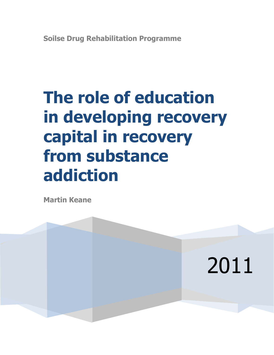# **The role of education in developing recovery capital in recovery from substance addiction**

**Martin Keane**

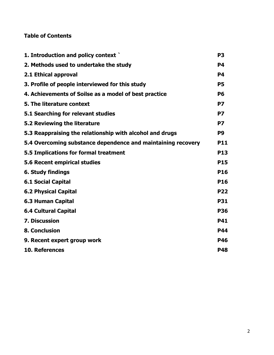# **Table of Contents**

| 1. Introduction and policy context                           | P <sub>3</sub> |
|--------------------------------------------------------------|----------------|
| 2. Methods used to undertake the study                       | <b>P4</b>      |
| 2.1 Ethical approval                                         | <b>P4</b>      |
| 3. Profile of people interviewed for this study              | <b>P5</b>      |
| 4. Achievements of Soilse as a model of best practice        | <b>P6</b>      |
| 5. The literature context                                    | <b>P7</b>      |
| 5.1 Searching for relevant studies                           | P7             |
| 5.2 Reviewing the literature                                 | P7             |
| 5.3 Reappraising the relationship with alcohol and drugs     | P <sub>9</sub> |
| 5.4 Overcoming substance dependence and maintaining recovery | <b>P11</b>     |
| 5.5 Implications for formal treatment                        | <b>P13</b>     |
| 5.6 Recent empirical studies                                 | <b>P15</b>     |
| <b>6. Study findings</b>                                     | <b>P16</b>     |
| <b>6.1 Social Capital</b>                                    | <b>P16</b>     |
| <b>6.2 Physical Capital</b>                                  | <b>P22</b>     |
| <b>6.3 Human Capital</b>                                     | <b>P31</b>     |
| <b>6.4 Cultural Capital</b>                                  | <b>P36</b>     |
| <b>7. Discussion</b>                                         | <b>P41</b>     |
| <b>8. Conclusion</b>                                         | <b>P44</b>     |
| 9. Recent expert group work                                  | <b>P46</b>     |
| 10. References                                               | <b>P48</b>     |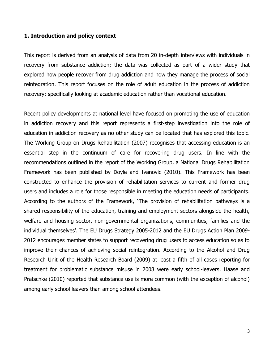#### **1. Introduction and policy context**

This report is derived from an analysis of data from 20 in-depth interviews with individuals in recovery from substance addiction; the data was collected as part of a wider study that explored how people recover from drug addiction and how they manage the process of social reintegration. This report focuses on the role of adult education in the process of addiction recovery; specifically looking at academic education rather than vocational education.

Recent policy developments at national level have focused on promoting the use of education in addiction recovery and this report represents a first-step investigation into the role of education in addiction recovery as no other study can be located that has explored this topic. The Working Group on Drugs Rehabilitation (2007) recognises that accessing education is an essential step in the continuum of care for recovering drug users. In line with the recommendations outlined in the report of the Working Group, a National Drugs Rehabilitation Framework has been published by Doyle and Ivanovic (2010). This Framework has been constructed to enhance the provision of rehabilitation services to current and former drug users and includes a role for those responsible in meeting the education needs of participants. According to the authors of the Framework, **'**The provision of rehabilitation pathways is a shared responsibility of the education, training and employment sectors alongside the health, welfare and housing sector, non-governmental organizations, communities, families and the individual themselves'. The EU Drugs Strategy 2005-2012 and the EU Drugs Action Plan 2009- 2012 encourages member states to support recovering drug users to access education so as to improve their chances of achieving social reintegration. According to the Alcohol and Drug Research Unit of the Health Research Board (2009) at least a fifth of all cases reporting for treatment for problematic substance misuse in 2008 were early school-leavers. Haase and Pratschke (2010) reported that substance use is more common (with the exception of alcohol) among early school leavers than among school attendees.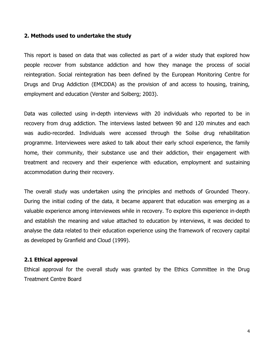## **2. Methods used to undertake the study**

This report is based on data that was collected as part of a wider study that explored how people recover from substance addiction and how they manage the process of social reintegration. Social reintegration has been defined by the European Monitoring Centre for Drugs and Drug Addiction (EMCDDA) as the provision of and access to housing, training, employment and education (Verster and Solberg; 2003).

Data was collected using in-depth interviews with 20 individuals who reported to be in recovery from drug addiction. The interviews lasted between 90 and 120 minutes and each was audio-recorded. Individuals were accessed through the Soilse drug rehabilitation programme. Interviewees were asked to talk about their early school experience, the family home, their community, their substance use and their addiction, their engagement with treatment and recovery and their experience with education, employment and sustaining accommodation during their recovery.

The overall study was undertaken using the principles and methods of Grounded Theory. During the initial coding of the data, it became apparent that education was emerging as a valuable experience among interviewees while in recovery. To explore this experience in-depth and establish the meaning and value attached to education by interviews, it was decided to analyse the data related to their education experience using the framework of recovery capital as developed by Granfield and Cloud (1999).

## **2.1 Ethical approval**

Ethical approval for the overall study was granted by the Ethics Committee in the Drug Treatment Centre Board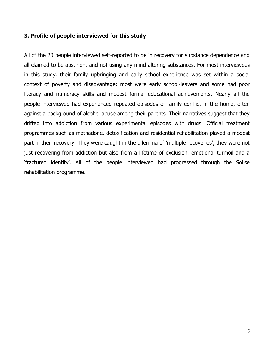# **3. Profile of people interviewed for this study**

All of the 20 people interviewed self-reported to be in recovery for substance dependence and all claimed to be abstinent and not using any mind-altering substances. For most interviewees in this study, their family upbringing and early school experience was set within a social context of poverty and disadvantage; most were early school-leavers and some had poor literacy and numeracy skills and modest formal educational achievements. Nearly all the people interviewed had experienced repeated episodes of family conflict in the home, often against a background of alcohol abuse among their parents. Their narratives suggest that they drifted into addiction from various experimental episodes with drugs. Official treatment programmes such as methadone, detoxification and residential rehabilitation played a modest part in their recovery. They were caught in the dilemma of 'multiple recoveries'; they were not just recovering from addiction but also from a lifetime of exclusion, emotional turmoil and a 'fractured identity'. All of the people interviewed had progressed through the Soilse rehabilitation programme.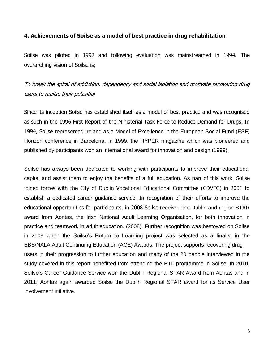## **4. Achievements of Soilse as a model of best practice in drug rehabilitation**

Soilse was piloted in 1992 and following evaluation was mainstreamed in 1994. The overarching vision of Soilse is;

# To break the spiral of addiction, dependency and social isolation and motivate recovering drug users to realise their potential

Since its inception Soilse has established itself as a model of best practice and was recognised as such in the 1996 First Report of the Ministerial Task Force to Reduce Demand for Drugs. In 1994, Soilse represented Ireland as a Model of Excellence in the European Social Fund (ESF) Horizon conference in Barcelona. In 1999, the HYPER magazine which was pioneered and published by participants won an international award for innovation and design (1999).

Soilse has always been dedicated to working with participants to improve their educational capital and assist them to enjoy the benefits of a full education. As part of this work, Soilse joined forces with the City of Dublin Vocational Educational Committee (CDVEC) in 2001 to establish a dedicated career guidance service. In recognition of their efforts to improve the educational opportunities for participants, in 2008 Soilse received the Dublin and region STAR award from Aontas, the Irish National Adult Learning Organisation, for both innovation in practice and teamwork in adult education. (2008). Further recognition was bestowed on Soilse in 2009 when the Soilse's Return to Learning project was selected as a finalist in the EBS/NALA Adult Continuing Education (ACE) Awards. The project supports recovering drug users in their progression to further education and many of the 20 people interviewed in the study covered in this report benefitted from attending the RTL programme in Soilse. In 2010, Soilse's Career Guidance Service won the Dublin Regional STAR Award from Aontas and in 2011; Aontas again awarded Soilse the Dublin Regional STAR award for its Service User Involvement initiative.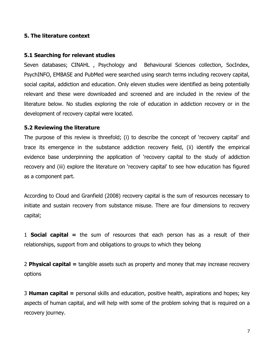# **5. The literature context**

## **5.1 Searching for relevant studies**

Seven databases; CINAHL , Psychology and Behavioural Sciences collection, SocIndex, PsychINFO, EMBASE and PubMed were searched using search terms including recovery capital, social capital, addiction and education. Only eleven studies were identified as being potentially relevant and these were downloaded and screened and are included in the review of the literature below. No studies exploring the role of education in addiction recovery or in the development of recovery capital were located.

# **5.2 Reviewing the literature**

The purpose of this review is threefold; (i) to describe the concept of 'recovery capital' and trace its emergence in the substance addiction recovery field, (ii) identify the empirical evidence base underpinning the application of 'recovery capital to the study of addiction recovery and (iii) explore the literature on 'recovery capital' to see how education has figured as a component part.

According to Cloud and Granfield (2008) recovery capital is the sum of resources necessary to initiate and sustain recovery from substance misuse. There are four dimensions to recovery capital;

1 **Social capital =** the sum of resources that each person has as a result of their relationships, support from and obligations to groups to which they belong

2 **Physical capital =** tangible assets such as property and money that may increase recovery options

3 **Human capital =** personal skills and education, positive health, aspirations and hopes; key aspects of human capital, and will help with some of the problem solving that is required on a recovery journey.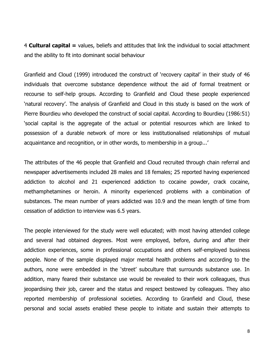4 **Cultural capital =** values, beliefs and attitudes that link the individual to social attachment and the ability to fit into dominant social behaviour

Granfield and Cloud (1999) introduced the construct of 'recovery capital' in their study of 46 individuals that overcome substance dependence without the aid of formal treatment or recourse to self-help groups. According to Granfield and Cloud these people experienced 'natural recovery'. The analysis of Granfield and Cloud in this study is based on the work of Pierre Bourdieu who developed the construct of social capital. According to Bourdieu (1986:51) 'social capital is the aggregate of the actual or potential resources which are linked to possession of a durable network of more or less institutionalised relationships of mutual acquaintance and recognition, or in other words, to membership in a group...'

The attributes of the 46 people that Granfield and Cloud recruited through chain referral and newspaper advertisements included 28 males and 18 females; 25 reported having experienced addiction to alcohol and 21 experienced addiction to cocaine powder, crack cocaine, methamphetamines or heroin. A minority experienced problems with a combination of substances. The mean number of years addicted was 10.9 and the mean length of time from cessation of addiction to interview was 6.5 years.

The people interviewed for the study were well educated; with most having attended college and several had obtained degrees. Most were employed, before, during and after their addiction experiences, some in professional occupations and others self-employed business people. None of the sample displayed major mental health problems and according to the authors, none were embedded in the 'street' subculture that surrounds substance use. In addition, many feared their substance use would be revealed to their work colleagues, thus jeopardising their job, career and the status and respect bestowed by colleagues. They also reported membership of professional societies. According to Granfield and Cloud, these personal and social assets enabled these people to initiate and sustain their attempts to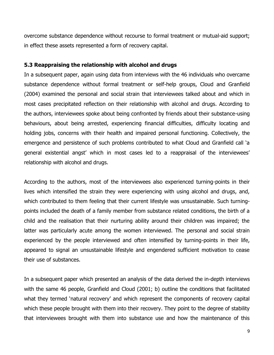overcome substance dependence without recourse to formal treatment or mutual-aid support; in effect these assets represented a form of recovery capital.

## **5.3 Reappraising the relationship with alcohol and drugs**

In a subsequent paper, again using data from interviews with the 46 individuals who overcame substance dependence without formal treatment or self-help groups, Cloud and Granfield (2004) examined the personal and social strain that interviewees talked about and which in most cases precipitated reflection on their relationship with alcohol and drugs. According to the authors, interviewees spoke about being confronted by friends about their substance-using behaviours, about being arrested, experiencing financial difficulties, difficulty locating and holding jobs, concerns with their health and impaired personal functioning. Collectively, the emergence and persistence of such problems contributed to what Cloud and Granfield call 'a general existential angst' which in most cases led to a reappraisal of the interviewees' relationship with alcohol and drugs.

According to the authors, most of the interviewees also experienced turning-points in their lives which intensified the strain they were experiencing with using alcohol and drugs, and, which contributed to them feeling that their current lifestyle was unsustainable. Such turningpoints included the death of a family member from substance related conditions, the birth of a child and the realisation that their nurturing ability around their children was impaired; the latter was particularly acute among the women interviewed. The personal and social strain experienced by the people interviewed and often intensified by turning-points in their life, appeared to signal an unsustainable lifestyle and engendered sufficient motivation to cease their use of substances.

In a subsequent paper which presented an analysis of the data derived the in-depth interviews with the same 46 people, Granfield and Cloud (2001; b) outline the conditions that facilitated what they termed 'natural recovery' and which represent the components of recovery capital which these people brought with them into their recovery. They point to the degree of stability that interviewees brought with them into substance use and how the maintenance of this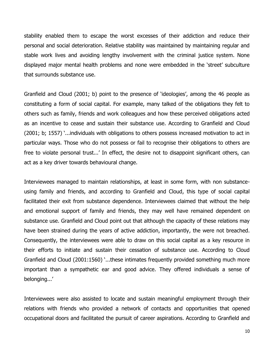stability enabled them to escape the worst excesses of their addiction and reduce their personal and social deterioration. Relative stability was maintained by maintaining regular and stable work lives and avoiding lengthy involvement with the criminal justice system. None displayed major mental health problems and none were embedded in the 'street' subculture that surrounds substance use.

Granfield and Cloud (2001; b) point to the presence of 'ideologies', among the 46 people as constituting a form of social capital. For example, many talked of the obligations they felt to others such as family, friends and work colleagues and how these perceived obligations acted as an incentive to cease and sustain their substance use. According to Granfield and Cloud (2001; b; 1557) '...individuals with obligations to others possess increased motivation to act in particular ways. Those who do not possess or fail to recognise their obligations to others are free to violate personal trust...' In effect, the desire not to disappoint significant others, can act as a key driver towards behavioural change.

Interviewees managed to maintain relationships, at least in some form, with non substanceusing family and friends, and according to Granfield and Cloud, this type of social capital facilitated their exit from substance dependence. Interviewees claimed that without the help and emotional support of family and friends, they may well have remained dependent on substance use. Granfield and Cloud point out that although the capacity of these relations may have been strained during the years of active addiction, importantly, the were not breached. Consequently, the interviewees were able to draw on this social capital as a key resource in their efforts to initiate and sustain their cessation of substance use. According to Cloud Granfield and Cloud (2001:1560) '...these intimates frequently provided something much more important than a sympathetic ear and good advice. They offered individuals a sense of belonging...'

Interviewees were also assisted to locate and sustain meaningful employment through their relations with friends who provided a network of contacts and opportunities that opened occupational doors and facilitated the pursuit of career aspirations. According to Granfield and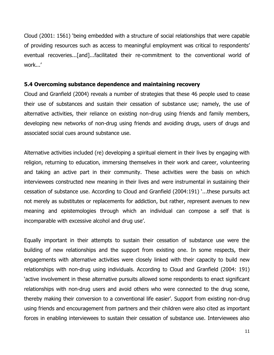Cloud (2001: 1561) 'being embedded with a structure of social relationships that were capable of providing resources such as access to meaningful employment was critical to respondents' eventual recoveries...[and]...facilitated their re-commitment to the conventional world of work...'

## **5.4 Overcoming substance dependence and maintaining recovery**

Cloud and Granfield (2004) reveals a number of strategies that these 46 people used to cease their use of substances and sustain their cessation of substance use; namely, the use of alternative activities, their reliance on existing non-drug using friends and family members, developing new networks of non-drug using friends and avoiding drugs, users of drugs and associated social cues around substance use.

Alternative activities included (re) developing a spiritual element in their lives by engaging with religion, returning to education, immersing themselves in their work and career, volunteering and taking an active part in their community. These activities were the basis on which interviewees constructed new meaning in their lives and were instrumental in sustaining their cessation of substance use. According to Cloud and Granfield (2004:191) '...these pursuits act not merely as substitutes or replacements for addiction, but rather, represent avenues to new meaning and epistemologies through which an individual can compose a self that is incomparable with excessive alcohol and drug use'.

Equally important in their attempts to sustain their cessation of substance use were the building of new relationships and the support from existing one. In some respects, their engagements with alternative activities were closely linked with their capacity to build new relationships with non-drug using individuals. According to Cloud and Granfield (2004: 191) 'active involvement in these alternative pursuits allowed some respondents to enact significant relationships with non-drug users and avoid others who were connected to the drug scene, thereby making their conversion to a conventional life easier'. Support from existing non-drug using friends and encouragement from partners and their children were also cited as important forces in enabling interviewees to sustain their cessation of substance use. Interviewees also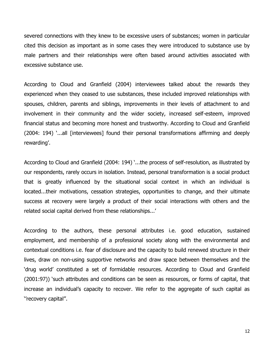severed connections with they knew to be excessive users of substances; women in particular cited this decision as important as in some cases they were introduced to substance use by male partners and their relationships were often based around activities associated with excessive substance use.

According to Cloud and Granfield (2004) interviewees talked about the rewards they experienced when they ceased to use substances, these included improved relationships with spouses, children, parents and siblings, improvements in their levels of attachment to and involvement in their community and the wider society, increased self-esteem, improved financial status and becoming more honest and trustworthy. According to Cloud and Granfield (2004: 194) '...all [interviewees] found their personal transformations affirming and deeply rewarding'.

According to Cloud and Granfield (2004: 194) '...the process of self-resolution, as illustrated by our respondents, rarely occurs in isolation. Instead, personal transformation is a social product that is greatly influenced by the situational social context in which an individual is located...their motivations, cessation strategies, opportunities to change, and their ultimate success at recovery were largely a product of their social interactions with others and the related social capital derived from these relationships...'

According to the authors, these personal attributes i.e. good education, sustained employment, and membership of a professional society along with the environmental and contextual conditions i.e. fear of disclosure and the capacity to build renewed structure in their lives, draw on non-using supportive networks and draw space between themselves and the 'drug world' constituted a set of formidable resources. According to Cloud and Granfield (2001:97)) 'such attributes and conditions can be seen as resources, or forms of capital, that increase an individual's capacity to recover. We refer to the aggregate of such capital as ''recovery capital''.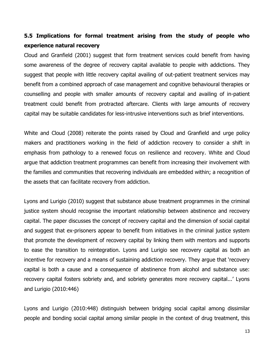# **5.5 Implications for formal treatment arising from the study of people who experience natural recovery**

Cloud and Granfield (2001) suggest that form treatment services could benefit from having some awareness of the degree of recovery capital available to people with addictions. They suggest that people with little recovery capital availing of out-patient treatment services may benefit from a combined approach of case management and cognitive behavioural therapies or counselling and people with smaller amounts of recovery capital and availing of in-patient treatment could benefit from protracted aftercare. Clients with large amounts of recovery capital may be suitable candidates for less-intrusive interventions such as brief interventions.

White and Cloud (2008) reiterate the points raised by Cloud and Granfield and urge policy makers and practitioners working in the field of addiction recovery to consider a shift in emphasis from pathology to a renewed focus on resilience and recovery. White and Cloud argue that addiction treatment programmes can benefit from increasing their involvement with the families and communities that recovering individuals are embedded within; a recognition of the assets that can facilitate recovery from addiction.

Lyons and Lurigio (2010) suggest that substance abuse treatment programmes in the criminal justice system should recognise the important relationship between abstinence and recovery capital. The paper discusses the concept of recovery capital and the dimension of social capital and suggest that ex-prisoners appear to benefit from initiatives in the criminal justice system that promote the development of recovery capital by linking them with mentors and supports to ease the transition to reintegration. Lyons and Lurigio see recovery capital as both an incentive for recovery and a means of sustaining addiction recovery. They argue that 'recovery capital is both a cause and a consequence of abstinence from alcohol and substance use: recovery capital fosters sobriety and, and sobriety generates more recovery capital...' Lyons and Lurigio (2010:446)

Lyons and Lurigio (2010:448) distinguish between bridging social capital among dissimilar people and bonding social capital among similar people in the context of drug treatment, this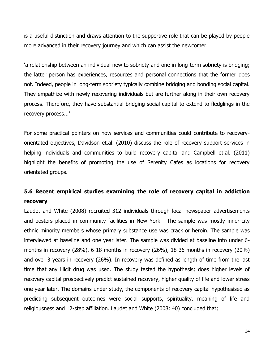is a useful distinction and draws attention to the supportive role that can be played by people more advanced in their recovery journey and which can assist the newcomer.

'a relationship between an individual new to sobriety and one in long-term sobriety is bridging; the latter person has experiences, resources and personal connections that the former does not. Indeed, people in long-term sobriety typically combine bridging and bonding social capital. They empathize with newly recovering individuals but are further along in their own recovery process. Therefore, they have substantial bridging social capital to extend to fledglings in the recovery process...'

For some practical pointers on how services and communities could contribute to recoveryorientated objectives, Davidson et.al. (2010) discuss the role of recovery support services in helping individuals and communities to build recovery capital and Campbell et.al. (2011) highlight the benefits of promoting the use of Serenity Cafes as locations for recovery orientated groups.

# **5.6 Recent empirical studies examining the role of recovery capital in addiction recovery**

Laudet and White (2008) recruited 312 individuals through local newspaper advertisements and posters placed in community facilities in New York. The sample was mostly inner-city ethnic minority members whose primary substance use was crack or heroin. The sample was interviewed at baseline and one year later. The sample was divided at baseline into under 6 months in recovery (28%), 6-18 months in recovery (26%), 18-36 months in recovery (20%) and over 3 years in recovery (26%). In recovery was defined as length of time from the last time that any illicit drug was used. The study tested the hypothesis; does higher levels of recovery capital prospectively predict sustained recovery, higher quality of life and lower stress one year later. The domains under study, the components of recovery capital hypothesised as predicting subsequent outcomes were social supports, spirituality, meaning of life and religiousness and 12-step affiliation. Laudet and White (2008: 40) concluded that;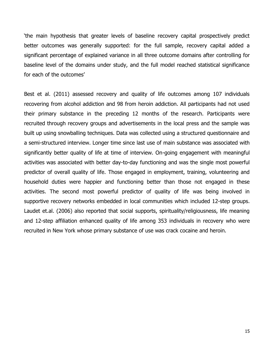'the main hypothesis that greater levels of baseline recovery capital prospectively predict better outcomes was generally supported: for the full sample, recovery capital added a significant percentage of explained variance in all three outcome domains after controlling for baseline level of the domains under study, and the full model reached statistical significance for each of the outcomes'

Best et al. (2011) assessed recovery and quality of life outcomes among 107 individuals recovering from alcohol addiction and 98 from heroin addiction. All participants had not used their primary substance in the preceding 12 months of the research. Participants were recruited through recovery groups and advertisements in the local press and the sample was built up using snowballing techniques. Data was collected using a structured questionnaire and a semi-structured interview. Longer time since last use of main substance was associated with significantly better quality of life at time of interview. On-going engagement with meaningful activities was associated with better day-to-day functioning and was the single most powerful predictor of overall quality of life. Those engaged in employment, training, volunteering and household duties were happier and functioning better than those not engaged in these activities. The second most powerful predictor of quality of life was being involved in supportive recovery networks embedded in local communities which included 12-step groups. Laudet et.al. (2006) also reported that social supports, spirituality/religiousness, life meaning and 12-step affiliation enhanced quality of life among 353 individuals in recovery who were recruited in New York whose primary substance of use was crack cocaine and heroin.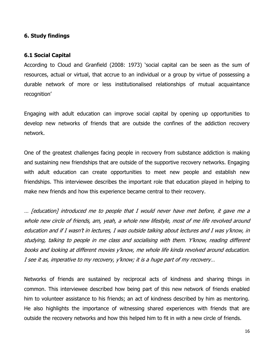# **6. Study findings**

## **6.1 Social Capital**

According to Cloud and Granfield (2008: 1973) 'social capital can be seen as the sum of resources, actual or virtual, that accrue to an individual or a group by virtue of possessing a durable network of more or less institutionalised relationships of mutual acquaintance recognition'

Engaging with adult education can improve social capital by opening up opportunities to develop new networks of friends that are outside the confines of the addiction recovery network.

One of the greatest challenges facing people in recovery from substance addiction is making and sustaining new friendships that are outside of the supportive recovery networks. Engaging with adult education can create opportunities to meet new people and establish new friendships. This interviewee describes the important role that education played in helping to make new friends and how this experience became central to their recovery.

… [education] introduced me to people that I would never have met before, it gave me a whole new circle of friends, am, yeah, a whole new lifestyle, most of me life revolved around education and if I wasn't in lectures, I was outside talking about lectures and I was y'know, in studying, talking to people in me class and socialising with them. Y'know, reading different books and looking at different movies y'know, me whole life kinda revolved around education. I see it as, imperative to my recovery, y'know; it is a huge part of my recovery…

Networks of friends are sustained by reciprocal acts of kindness and sharing things in common. This interviewee described how being part of this new network of friends enabled him to volunteer assistance to his friends; an act of kindness described by him as mentoring. He also highlights the importance of witnessing shared experiences with friends that are outside the recovery networks and how this helped him to fit in with a new circle of friends.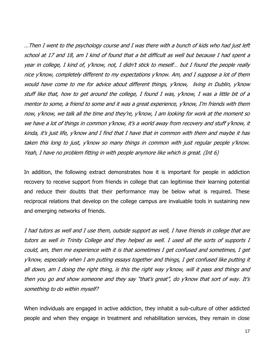…Then I went to the psychology course and I was there with a bunch of kids who had just left school at 17 and 18, am I kind of found that a bit difficult as well but because I had spent a year in college, I kind of, y'know, not, I didn't stick to meself… but I found the people really nice y'know, completely different to my expectations y'know. Am, and I suppose a lot of them would have come to me for advice about different things, y'know, living in Dublin, y'know stuff like that, how to get around the college, I found I was, y'know, I was a little bit of a mentor to some, a friend to some and it was a great experience, y'know, I'm friends with them now, y'know, we talk all the time and they're, y'know, I am looking for work at the moment so we have a lot of things in common y'know, it's a world away from recovery and stuff y'know, it kinda, it's just life, y'know and I find that I have that in common with them and maybe it has taken this long to just, y'know so many things in common with just regular people y'know. Yeah, I have no problem fitting in with people anymore like which is great. (Int 6)

In addition, the following extract demonstrates how it is important for people in addiction recovery to receive support from friends in college that can legitimise their learning potential and reduce their doubts that their performance may be below what is required. These reciprocal relations that develop on the college campus are invaluable tools in sustaining new and emerging networks of friends.

I had tutors as well and I use them, outside support as well, I have friends in college that are tutors as well in Trinity College and they helped as well. I used all the sorts of supports I could, am, then me experience with it is that sometimes I get confused and sometimes, I get y'know, especially when I am putting essays together and things, I get confused like putting it all down, am I doing the right thing, is this the right way y'know, will it pass and things and then you go and show someone and they say "that's great", do y'know that sort of way. It's something to do within myself?

When individuals are engaged in active addiction, they inhabit a sub-culture of other addicted people and when they engage in treatment and rehabilitation services, they remain in close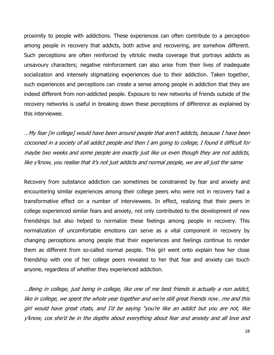proximity to people with addictions. These experiences can often contribute to a perception among people in recovery that addicts, both active and recovering, are somehow different. Such perceptions are often reinforced by vitriolic media coverage that portrays addicts as unsavoury characters; negative reinforcement can also arise from their lives of inadequate socialization and intensely stigmatizing experiences due to their addiction. Taken together, such experiences and perceptions can create a sense among people in addiction that they are indeed different from non-addicted people. Exposure to new networks of friends outside of the recovery networks is useful in breaking down these perceptions of difference as explained by this interviewee.

…My fear [in college] would have been around people that aren't addicts, because I have been cocooned in a society of all addict people and then I am going to college, I found it difficult for maybe two weeks and some people are exactly just like us even though they are not addicts, like y'know, you realise that it's not just addicts and normal people, we are all just the same

Recovery from substance addiction can sometimes be constrained by fear and anxiety and encountering similar experiences among their college peers who were not in recovery had a transformative effect on a number of interviewees. In effect, realizing that their peers in college experienced similar fears and anxiety, not only contributed to the development of new friendships but also helped to normalize these feelings among people in recovery. This normalization of uncomfortable emotions can serve as a vital component in recovery by changing perceptions among people that their experiences and feelings continue to render them as different from so-called normal people. This girl went onto explain how her close friendship with one of her college peers revealed to her that fear and anxiety can touch anyone, regardless of whether they experienced addiction.

…Being in college, just being in college, like one of me best friends is actually a non addict, like in college, we spent the whole year together and we're still great friends now…me and this girl would have great chats, and I'd be saying "you're like an addict but you are not, like y'know, cos she'd be in the depths about everything about fear and anxiety and all love and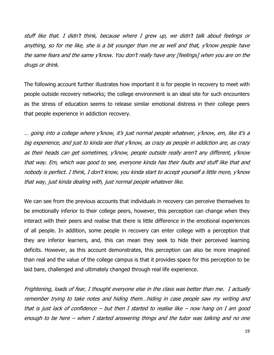stuff like that. I didn't think, because where I grew up, we didn't talk about feelings or anything, so for me like, she is a bit younger than me as well and that, y'know people have the same fears and the same y'know. You don't really have any [feelings] when you are on the drugs or drink.

The following account further illustrates how important it is for people in recovery to meet with people outside recovery networks; the college environment is an ideal site for such encounters as the stress of education seems to release similar emotional distress in their college peers that people experience in addiction recovery.

… going into a college where y'know, it's just normal people whatever, y'know, em, like it's a big experience, and just to kinda see that y'know, as crazy as people in addiction are, as crazy as their heads can get sometimes, y'know, people outside really aren't any different, y'know that way. Em, which was good to see, everyone kinda has their faults and stuff like that and nobody is perfect. I think, I don't know, you kinda start to accept yourself a little more, y'know that way, just kinda dealing with, just normal people whatever like.

We can see from the previous accounts that individuals in recovery can perceive themselves to be emotionally inferior to their college peers, however, this perception can change when they interact with their peers and realise that there is little difference in the emotional experiences of all people. In addition, some people in recovery can enter college with a perception that they are inferior learners, and, this can mean they seek to hide their perceived learning deficits. However, as this account demonstrates, this perception can also be more imagined than real and the value of the college campus is that it provides space for this perception to be laid bare, challenged and ultimately changed through real life experience.

Frightening, loads of fear, I thought everyone else in the class was better than me. I actually remember trying to take notes and hiding them…hiding in case people saw my writing and that is just lack of confidence – but then I started to realise like – now hang on I am good enough to be here – when I started answering things and the tutor was talking and no one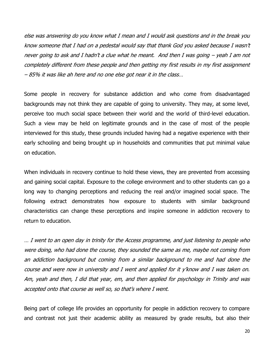else was answering do you know what I mean and I would ask questions and in the break you know someone that I had on a pedestal would say that thank God you asked because I wasn't never going to ask and I hadn't a clue what he meant. And then I was going – yeah I am not completely different from these people and then getting my first results in my first assignment – 85% it was like ah here and no one else got near it in the class…

Some people in recovery for substance addiction and who come from disadvantaged backgrounds may not think they are capable of going to university. They may, at some level, perceive too much social space between their world and the world of third-level education. Such a view may be held on legitimate grounds and in the case of most of the people interviewed for this study, these grounds included having had a negative experience with their early schooling and being brought up in households and communities that put minimal value on education.

When individuals in recovery continue to hold these views, they are prevented from accessing and gaining social capital. Exposure to the college environment and to other students can go a long way to changing perceptions and reducing the real and/or imagined social space. The following extract demonstrates how exposure to students with similar background characteristics can change these perceptions and inspire someone in addiction recovery to return to education.

… I went to an open day in trinity for the Access programme, and just listening to people who were doing, who had done the course, they sounded the same as me, maybe not coming from an addiction background but coming from a similar background to me and had done the course and were now in university and I went and applied for it y'know and I was taken on. Am, yeah and then, I did that year, em, and then applied for psychology in Trinity and was accepted onto that course as well so, so that's where I went.

Being part of college life provides an opportunity for people in addiction recovery to compare and contrast not just their academic ability as measured by grade results, but also their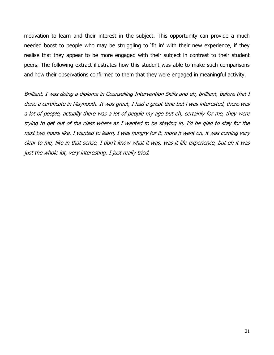motivation to learn and their interest in the subject. This opportunity can provide a much needed boost to people who may be struggling to 'fit in' with their new experience, if they realise that they appear to be more engaged with their subject in contrast to their student peers. The following extract illustrates how this student was able to make such comparisons and how their observations confirmed to them that they were engaged in meaningful activity.

Brilliant, I was doing a diploma in Counselling Intervention Skills and eh, brilliant, before that I done a certificate in Maynooth. It was great, I had a great time but i was interested, there was a lot of people, actually there was a lot of people my age but eh, certainly for me, they were trying to get out of the class where as I wanted to be staying in, I'd be glad to stay for the next two hours like. I wanted to learn, I was hungry for it, more it went on, it was coming very clear to me, like in that sense, I don't know what it was, was it life experience, but eh it was just the whole lot, very interesting. I just really tried.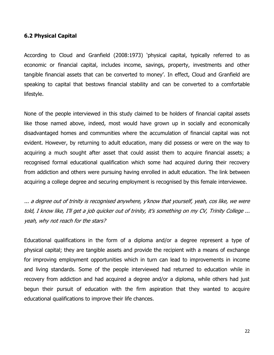## **6.2 Physical Capital**

According to Cloud and Granfield (2008:1973) 'physical capital, typically referred to as economic or financial capital, includes income, savings, property, investments and other tangible financial assets that can be converted to money'. In effect, Cloud and Granfield are speaking to capital that bestows financial stability and can be converted to a comfortable lifestyle.

None of the people interviewed in this study claimed to be holders of financial capital assets like those named above, indeed, most would have grown up in socially and economically disadvantaged homes and communities where the accumulation of financial capital was not evident. However, by returning to adult education, many did possess or were on the way to acquiring a much sought after asset that could assist them to acquire financial assets; a recognised formal educational qualification which some had acquired during their recovery from addiction and others were pursuing having enrolled in adult education. The link between acquiring a college degree and securing employment is recognised by this female interviewee.

... a degree out of trinity is recognised anywhere, y'know that yourself, yeah, cos like, we were told, I know like, I'll get a job quicker out of trinity, it's something on my CV, Trinity College ... yeah, why not reach for the stars?

Educational qualifications in the form of a diploma and/or a degree represent a type of physical capital; they are tangible assets and provide the recipient with a means of exchange for improving employment opportunities which in turn can lead to improvements in income and living standards. Some of the people interviewed had returned to education while in recovery from addiction and had acquired a degree and/or a diploma, while others had just begun their pursuit of education with the firm aspiration that they wanted to acquire educational qualifications to improve their life chances.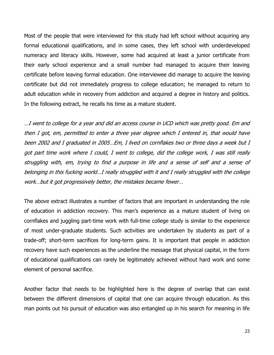Most of the people that were interviewed for this study had left school without acquiring any formal educational qualifications, and in some cases, they left school with underdeveloped numeracy and literacy skills. However, some had acquired at least a junior certificate from their early school experience and a small number had managed to acquire their leaving certificate before leaving formal education. One interviewee did manage to acquire the leaving certificate but did not immediately progress to college education; he managed to return to adult education while in recovery from addiction and acquired a degree in history and politics. In the following extract, he recalls his time as a mature student.

…I went to college for a year and did an access course in UCD which was pretty good. Em and then I got, em, permitted to enter a three year degree which I entered in, that would have been 2002 and I graduated in 2005…Em, I lived on cornflakes two or three days a week but I got part time work where I could, I went to college, did the college work, I was still really struggling with, em, trying to find a purpose in life and a sense of self and a sense of belonging in this fucking world…I really struggled with it and I really struggled with the college work…but it got progressively better, the mistakes became fewer…

The above extract illustrates a number of factors that are important in understanding the role of education in addiction recovery. This man's experience as a mature student of living on cornflakes and juggling part-time work with full-time college study is similar to the experience of most under-graduate students. Such activities are undertaken by students as part of a trade-off; short-term sacrifices for long-term gains. It is important that people in addiction recovery have such experiences as the underline the message that physical capital, in the form of educational qualifications can rarely be legitimately achieved without hard work and some element of personal sacrifice.

Another factor that needs to be highlighted here is the degree of overlap that can exist between the different dimensions of capital that one can acquire through education. As this man points out his pursuit of education was also entangled up in his search for meaning in life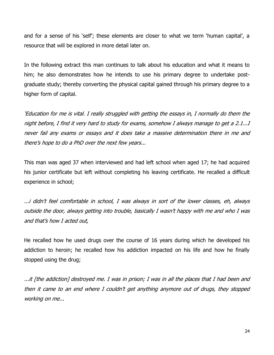and for a sense of his 'self'; these elements are closer to what we term 'human capital', a resource that will be explored in more detail later on.

In the following extract this man continues to talk about his education and what it means to him; he also demonstrates how he intends to use his primary degree to undertake postgraduate study; thereby converting the physical capital gained through his primary degree to a higher form of capital.

'Education for me is vital. I really struggled with getting the essays in, I normally do them the night before, I find it very hard to study for exams, somehow I always manage to get a 2.1...I never fail any exams or essays and it does take a massive determination there in me and there's hope to do a PhD over the next few years...

This man was aged 37 when interviewed and had left school when aged 17; he had acquired his junior certificate but left without completing his leaving certificate. He recalled a difficult experience in school;

...i didn't feel comfortable in school, I was always in sort of the lower classes, eh, always outside the door, always getting into trouble, basically I wasn't happy with me and who I was and that's how I acted out,

He recalled how he used drugs over the course of 16 years during which he developed his addiction to heroin; he recalled how his addiction impacted on his life and how he finally stopped using the drug;

...it [the addiction] destroyed me. I was in prison; I was in all the places that I had been and then it came to an end where I couldn't get anything anymore out of drugs, they stopped working on me...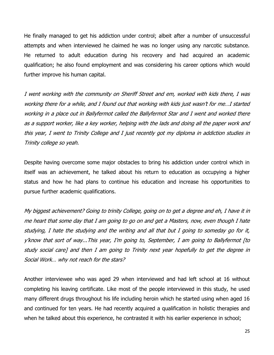He finally managed to get his addiction under control; albeit after a number of unsuccessful attempts and when interviewed he claimed he was no longer using any narcotic substance. He returned to adult education during his recovery and had acquired an academic qualification; he also found employment and was considering his career options which would further improve his human capital.

I went working with the community on Sheriff Street and em, worked with kids there, I was working there for a while, and I found out that working with kids just wasn't for me…I started working in a place out in Ballyfermot called the Ballyfermot Star and I went and worked there as a support worker, like a key worker, helping with the lads and doing all the paper work and this year, I went to Trinity College and I just recently got my diploma in addiction studies in Trinity college so yeah.

Despite having overcome some major obstacles to bring his addiction under control which in itself was an achievement, he talked about his return to education as occupying a higher status and how he had plans to continue his education and increase his opportunities to pursue further academic qualifications.

My biggest achievement? Going to trinity College, going on to get a degree and eh, I have it in me heart that some day that I am going to go on and get a Masters, now, even though I hate studying, I hate the studying and the writing and all that but I going to someday go for it, y'know that sort of way...This year, I'm going to, September, I am going to Ballyfermot [to study social care] and then I am going to Trinity next year hopefully to get the degree in Social Work… why not reach for the stars?

Another interviewee who was aged 29 when interviewed and had left school at 16 without completing his leaving certificate. Like most of the people interviewed in this study, he used many different drugs throughout his life including heroin which he started using when aged 16 and continued for ten years. He had recently acquired a qualification in holistic therapies and when he talked about this experience, he contrasted it with his earlier experience in school;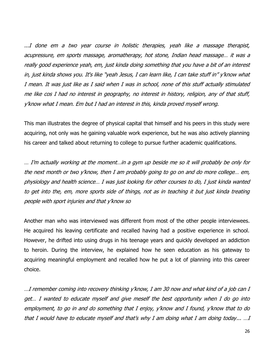...I done em a two year course in holistic therapies, yeah like a massage therapist, acupressure, em sports massage, aromatherapy, hot stone, Indian head massage… it was a really good experience yeah, em, just kinda doing something that you have a bit of an interest in, just kinda shows you. It's like "yeah Jesus, I can learn like, I can take stuff in" y'know what I mean. It was just like as I said when I was in school, none of this stuff actually stimulated me like cos I had no interest in geography, no interest in history, religion, any of that stuff, y'know what I mean. Em but I had an interest in this, kinda proved myself wrong.

This man illustrates the degree of physical capital that himself and his peers in this study were acquiring, not only was he gaining valuable work experience, but he was also actively planning his career and talked about returning to college to pursue further academic qualifications.

… I'm actually working at the moment…in a gym up beside me so it will probably be only for the next month or two y'know, then I am probably going to go on and do more college… em, physiology and health science… I was just looking for other courses to do, I just kinda wanted to get into the, em, more sports side of things, not as in teaching it but just kinda treating people with sport injuries and that y'know so

Another man who was interviewed was different from most of the other people interviewees. He acquired his leaving certificate and recalled having had a positive experience in school. However, he drifted into using drugs in his teenage years and quickly developed an addiction to heroin. During the interview, he explained how he seen education as his gateway to acquiring meaningful employment and recalled how he put a lot of planning into this career choice.

…I remember coming into recovery thinking y'know, I am 30 now and what kind of a job can I get… I wanted to educate myself and give meself the best opportunity when I do go into employment, to go in and do something that I enjoy, y'know and I found, y'know that to do that I would have to educate myself and that's why I am doing what I am doing today... …I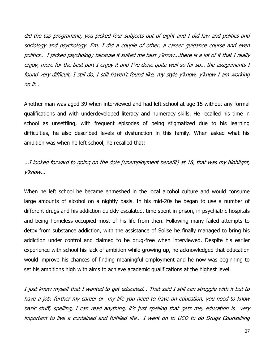did the tap programme, you picked four subjects out of eight and I did law and politics and sociology and psychology. Em, I did a couple of other, a career guidance course and even politics… I picked psychology because it suited me best y'know...there is a lot of it that I really enjoy, more for the best part I enjoy it and I've done quite well so far so… the assignments I found very difficult, I still do, I still haven't found like, my style y'know, y'know I am working on it…

Another man was aged 39 when interviewed and had left school at age 15 without any formal qualifications and with underdeveloped literacy and numeracy skills. He recalled his time in school as unsettling, with frequent episodes of being stigmatized due to his learning difficulties, he also described levels of dysfunction in this family. When asked what his ambition was when he left school, he recalled that;

...I looked forward to going on the dole [unemployment benefit] at 18, that was my highlight, y'know...

When he left school he became enmeshed in the local alcohol culture and would consume large amounts of alcohol on a nightly basis. In his mid-20s he began to use a number of different drugs and his addiction quickly escalated, time spent in prison, in psychiatric hospitals and being homeless occupied most of his life from then. Following many failed attempts to detox from substance addiction, with the assistance of Soilse he finally managed to bring his addiction under control and claimed to be drug-free when interviewed. Despite his earlier experience with school his lack of ambition while growing up, he acknowledged that education would improve his chances of finding meaningful employment and he now was beginning to set his ambitions high with aims to achieve academic qualifications at the highest level.

I just knew myself that I wanted to get educated… That said I still can struggle with it but to have a job, further my career or my life you need to have an education, you need to know basic stuff, spelling, I can read anything, it's just spelling that gets me, education is very important to live a contained and fulfilled life… I went on to UCD to do Drugs Counselling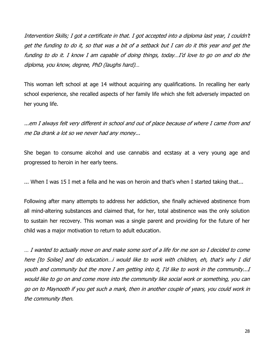Intervention Skills; I got a certificate in that. I got accepted into a diploma last year, I couldn't get the funding to do it, so that was a bit of a setback but I can do it this year and get the funding to do it. I know I am capable of doing things, today…I'd love to go on and do the diploma, you know, degree, PhD (laughs hard)…

This woman left school at age 14 without acquiring any qualifications. In recalling her early school experience, she recalled aspects of her family life which she felt adversely impacted on her young life.

...em I always felt very different in school and out of place because of where I came from and me Da drank a lot so we never had any money...

She began to consume alcohol and use cannabis and ecstasy at a very young age and progressed to heroin in her early teens.

... When I was 15 I met a fella and he was on heroin and that's when I started taking that...

Following after many attempts to address her addiction, she finally achieved abstinence from all mind-altering substances and claimed that, for her, total abstinence was the only solution to sustain her recovery. This woman was a single parent and providing for the future of her child was a major motivation to return to adult education.

… I wanted to actually move on and make some sort of a life for me son so I decided to come here [to Soilse] and do education…i would like to work with children, eh, that's why I did youth and community but the more I am getting into it, I'd like to work in the community...I would like to go on and come more into the community like social work or something, you can go on to Maynooth if you get such a mark, then in another couple of years, you could work in the community then.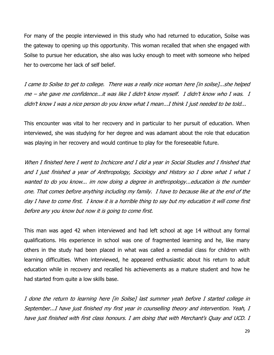For many of the people interviewed in this study who had returned to education, Soilse was the gateway to opening up this opportunity. This woman recalled that when she engaged with Soilse to pursue her education, she also was lucky enough to meet with someone who helped her to overcome her lack of self belief.

I came to Soilse to get to college. There was a really nice woman here [in soilse]...she helped me – she gave me confidence...it was like I didn't know myself. I didn't know who I was. I didn't know I was a nice person do you know what I mean...I think I just needed to be told...

This encounter was vital to her recovery and in particular to her pursuit of education. When interviewed, she was studying for her degree and was adamant about the role that education was playing in her recovery and would continue to play for the foreseeable future.

When I finished here I went to Inchicore and I did a year in Social Studies and I finished that and I just finished a year of Anthropology, Sociology and History so I done what I what I wanted to do you know... im now doing a degree in anthropology...education is the number one. That comes before anything including my family. I have to because like at the end of the day I have to come first. I know it is a horrible thing to say but my education it will come first before any you know but now it is going to come first.

This man was aged 42 when interviewed and had left school at age 14 without any formal qualifications. His experience in school was one of fragmented learning and he, like many others in the study had been placed in what was called a remedial class for children with learning difficulties. When interviewed, he appeared enthusiastic about his return to adult education while in recovery and recalled his achievements as a mature student and how he had started from quite a low skills base.

I done the return to learning here [in Soilse] last summer yeah before I started college in September...I have just finished my first year in counselling theory and intervention. Yeah, I have just finished with first class honours. I am doing that with Merchant's Quay and UCD. I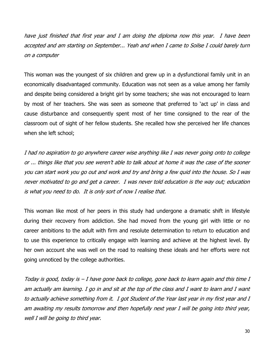have just finished that first year and I am doing the diploma now this year. I have been accepted and am starting on September... Yeah and when I came to Soilse I could barely turn on a computer

This woman was the youngest of six children and grew up in a dysfunctional family unit in an economically disadvantaged community. Education was not seen as a value among her family and despite being considered a bright girl by some teachers; she was not encouraged to learn by most of her teachers. She was seen as someone that preferred to 'act up' in class and cause disturbance and consequently spent most of her time consigned to the rear of the classroom out of sight of her fellow students. She recalled how she perceived her life chances when she left school;

I had no aspiration to go anywhere career wise anything like I was never going onto to college or ... things like that you see weren't able to talk about at home it was the case of the sooner you can start work you go out and work and try and bring a few quid into the house. So I was never motivated to go and get a career. I was never told education is the way out; education is what you need to do. It is only sort of now I realise that.

This woman like most of her peers in this study had undergone a dramatic shift in lifestyle during their recovery from addiction. She had moved from the young girl with little or no career ambitions to the adult with firm and resolute determination to return to education and to use this experience to critically engage with learning and achieve at the highest level. By her own account she was well on the road to realising these ideals and her efforts were not going unnoticed by the college authorities.

Today is good, today is  $-I$  have gone back to college, gone back to learn again and this time  $I$ am actually am learning. I go in and sit at the top of the class and I want to learn and I want to actually achieve something from it. I got Student of the Year last year in my first year and I am awaiting my results tomorrow and then hopefully next year I will be going into third year, well I will be going to third year.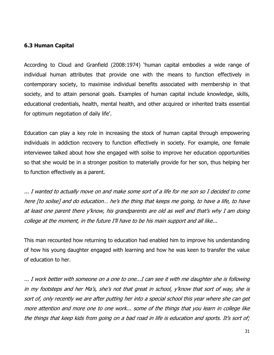# **6.3 Human Capital**

According to Cloud and Granfield (2008:1974) 'human capital embodies a wide range of individual human attributes that provide one with the means to function effectively in contemporary society, to maximise individual benefits associated with membership in that society, and to attain personal goals. Examples of human capital include knowledge, skills, educational credentials, health, mental health, and other acquired or inherited traits essential for optimum negotiation of daily life'.

Education can play a key role in increasing the stock of human capital through empowering individuals in addiction recovery to function effectively in society. For example, one female interviewee talked about how she engaged with soilse to improve her education opportunities so that she would be in a stronger position to materially provide for her son, thus helping her to function effectively as a parent.

... I wanted to actually move on and make some sort of a life for me son so I decided to come here [to soilse] and do education… he's the thing that keeps me going, to have a life, to have at least one parent there y'know, his grandparents are old as well and that's why I am doing college at the moment, in the future I'll have to be his main support and all like...

This man recounted how returning to education had enabled him to improve his understanding of how his young daughter engaged with learning and how he was keen to transfer the value of education to her.

... I work better with someone on a one to one...I can see it with me daughter she is following in my footsteps and her Ma's, she's not that great in school, y'know that sort of way, she is sort of, only recently we are after putting her into a special school this year where she can get more attention and more one to one work... some of the things that you learn in college like the things that keep kids from going on a bad road in life is education and sports. It's sort of;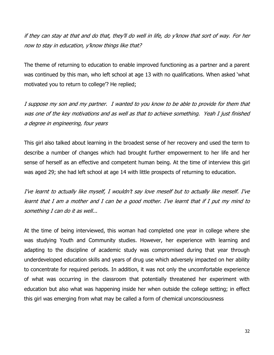if they can stay at that and do that, they'll do well in life, do y'know that sort of way. For her now to stay in education, y'know things like that?

The theme of returning to education to enable improved functioning as a partner and a parent was continued by this man, who left school at age 13 with no qualifications. When asked 'what motivated you to return to college'? He replied;

I suppose my son and my partner. I wanted to you know to be able to provide for them that was one of the key motivations and as well as that to achieve something. Yeah I just finished a degree in engineering, four years

This girl also talked about learning in the broadest sense of her recovery and used the term to describe a number of changes which had brought further empowerment to her life and her sense of herself as an effective and competent human being. At the time of interview this girl was aged 29; she had left school at age 14 with little prospects of returning to education.

I've learnt to actually like myself, I wouldn't say love meself but to actually like meself. I've learnt that I am a mother and I can be a good mother. I've learnt that if I put my mind to something I can do it as well...

At the time of being interviewed, this woman had completed one year in college where she was studying Youth and Community studies. However, her experience with learning and adapting to the discipline of academic study was compromised during that year through underdeveloped education skills and years of drug use which adversely impacted on her ability to concentrate for required periods. In addition, it was not only the uncomfortable experience of what was occurring in the classroom that potentially threatened her experiment with education but also what was happening inside her when outside the college setting; in effect this girl was emerging from what may be called a form of chemical unconsciousness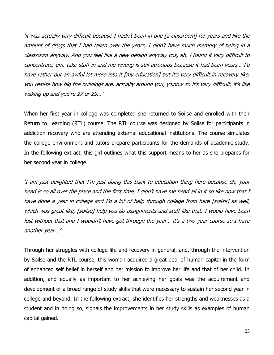'it was actually very difficult because I hadn't been in one [a classroom] for years and like the amount of drugs that I had taken over the years, I didn't have much memory of being in a classroom anyway. And you feel like a new person anyway cos, eh, i found it very difficult to concentrate, em, take stuff in and me writing is still atrocious because it had been years… I'd have rather put an awful lot more into it [my education] but it's very difficult in recovery like, you realise how big the buildings are, actually around you, y'know so it's very difficult, it's like waking up and you're 27 or 29...'

When her first year in college was completed she returned to Soilse and enrolled with their Return to Learning (RTL) course. The RTL course was designed by Soilse for participants in addiction recovery who are attending external educational institutions. The course simulates the college environment and tutors prepare participants for the demands of academic study. In the following extract, this girl outlines what this support means to her as she prepares for her second year in college.

'I am just delighted that I'm just doing this back to education thing here because eh, your head is so all over the place and the first time, I didn't have me head all in it so like now that I have done a year in college and I'd a lot of help through college from here [soilse] as well, which was great like, [soilse] help you do assignments and stuff like that. I would have been lost without that and I wouldn't have got through the year... it's a two year course so I have another year...'

Through her struggles with college life and recovery in general, and, through the intervention by Soilse and the RTL course, this woman acquired a great deal of human capital in the form of enhanced self belief in herself and her mission to improve her life and that of her child. In addition, and equally as important to her achieving her goals was the acquirement and development of a broad range of study skills that were necessary to sustain her second year in college and beyond. In the following extract, she identifies her strengths and weaknesses as a student and in doing so, signals the improvements in her study skills as examples of human capital gained.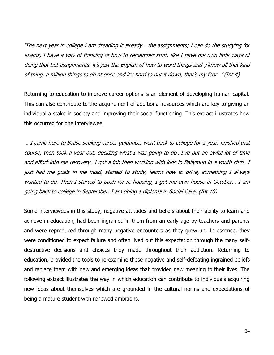'The next year in college I am dreading it already… the assignments; I can do the studying for exams, I have a way of thinking of how to remember stuff, like I have me own little ways of doing that but assignments, it's just the English of how to word things and y'know all that kind of thing, a million things to do at once and it's hard to put it down, that's my fear…' (Int 4)

Returning to education to improve career options is an element of developing human capital. This can also contribute to the acquirement of additional resources which are key to giving an individual a stake in society and improving their social functioning. This extract illustrates how this occurred for one interviewee.

… I came here to Soilse seeking career guidance, went back to college for a year, finished that course, then took a year out, deciding what I was going to do…I've put an awful lot of time and effort into me recovery…I got a job then working with kids in Ballymun in a youth club…I just had me goals in me head, started to study, learnt how to drive, something I always wanted to do. Then I started to push for re-housing, I got me own house in October… I am going back to college in September. I am doing a diploma in Social Care. (Int 10)

Some interviewees in this study, negative attitudes and beliefs about their ability to learn and achieve in education, had been ingrained in them from an early age by teachers and parents and were reproduced through many negative encounters as they grew up. In essence, they were conditioned to expect failure and often lived out this expectation through the many selfdestructive decisions and choices they made throughout their addiction. Returning to education, provided the tools to re-examine these negative and self-defeating ingrained beliefs and replace them with new and emerging ideas that provided new meaning to their lives. The following extract illustrates the way in which education can contribute to individuals acquiring new ideas about themselves which are grounded in the cultural norms and expectations of being a mature student with renewed ambitions.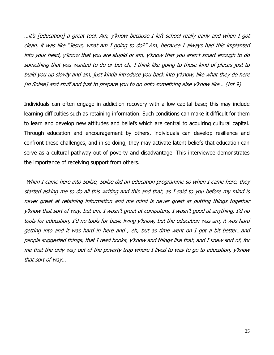…it's [education] a great tool. Am, y'know because I left school really early and when I got clean, it was like "Jesus, what am I going to do?" Am, because I always had this implanted into your head, y'know that you are stupid or am, y'know that you aren't smart enough to do something that you wanted to do or but eh, I think like going to these kind of places just to build you up slowly and am, just kinda introduce you back into y'know, like what they do here [in Soilse] and stuff and just to prepare you to go onto something else y'know like… (Int 9)

Individuals can often engage in addiction recovery with a low capital base; this may include learning difficulties such as retaining information. Such conditions can make it difficult for them to learn and develop new attitudes and beliefs which are central to acquiring cultural capital. Through education and encouragement by others, individuals can develop resilience and confront these challenges, and in so doing, they may activate latent beliefs that education can serve as a cultural pathway out of poverty and disadvantage. This interviewee demonstrates the importance of receiving support from others.

When I came here into Soilse, Soilse did an education programme so when I came here, they started asking me to do all this writing and this and that, as I said to you before my mind is never great at retaining information and me mind is never great at putting things together y'know that sort of way, but em, I wasn't great at computers, I wasn't good at anything, I'd no tools for education, I'd no tools for basic living y'know, but the education was am, it was hard getting into and it was hard in here and , eh, but as time went on I got a bit better…and people suggested things, that I read books, y'know and things like that, and I knew sort of, for me that the only way out of the poverty trap where I lived to was to go to education, y'know that sort of way…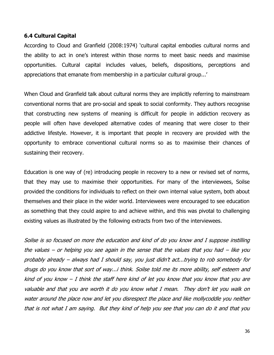# **6.4 Cultural Capital**

According to Cloud and Granfield (2008:1974) 'cultural capital embodies cultural norms and the ability to act in one's interest within those norms to meet basic needs and maximise opportunities. Cultural capital includes values, beliefs, dispositions, perceptions and appreciations that emanate from membership in a particular cultural group...'

When Cloud and Granfield talk about cultural norms they are implicitly referring to mainstream conventional norms that are pro-social and speak to social conformity. They authors recognise that constructing new systems of meaning is difficult for people in addiction recovery as people will often have developed alternative codes of meaning that were closer to their addictive lifestyle. However, it is important that people in recovery are provided with the opportunity to embrace conventional cultural norms so as to maximise their chances of sustaining their recovery.

Education is one way of (re) introducing people in recovery to a new or revised set of norms, that they may use to maximise their opportunities. For many of the interviewees, Soilse provided the conditions for individuals to reflect on their own internal value system, both about themselves and their place in the wider world. Interviewees were encouraged to see education as something that they could aspire to and achieve within, and this was pivotal to challenging existing values as illustrated by the following extracts from two of the interviewees.

Soilse is so focused on more the education and kind of do you know and I suppose instilling the values – or helping you see again in the sense that the values that you had – like you probably already – always had I should say, you just didn't act...trying to rob somebody for drugs do you know that sort of way...i think. Soilse told me its more ability, self esteem and kind of you know  $-I$  think the staff here kind of let you know that you know that you are valuable and that you are worth it do you know what I mean. They don't let you walk on water around the place now and let you disrespect the place and like mollycoddle you neither that is not what I am saying. But they kind of help you see that you can do it and that you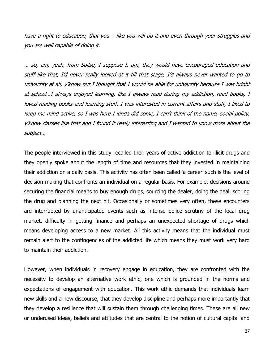have a right to education, that you – like you will do it and even through your struggles and you are well capable of doing it.

… so, am, yeah, from Soilse, I suppose I, am, they would have encouraged education and stuff like that, I'd never really looked at it till that stage, I'd always never wanted to go to university at all, y'know but I thought that I would be able for university because I was bright at school…I always enjoyed learning, like I always read during my addiction, read books, I loved reading books and learning stuff. I was interested in current affairs and stuff, I liked to keep me mind active, so I was here I kinda did some, I can't think of the name, social policy, y'know classes like that and I found it really interesting and I wanted to know more about the subject…

The people interviewed in this study recalled their years of active addiction to illicit drugs and they openly spoke about the length of time and resources that they invested in maintaining their addiction on a daily basis. This activity has often been called 'a career' such is the level of decision-making that confronts an individual on a regular basis. For example, decisions around securing the financial means to buy enough drugs, sourcing the dealer, doing the deal, scoring the drug and planning the next hit. Occasionally or sometimes very often, these encounters are interrupted by unanticipated events such as intense police scrutiny of the local drug market, difficulty in getting finance and perhaps an unexpected shortage of drugs which means developing access to a new market. All this activity means that the individual must remain alert to the contingencies of the addicted life which means they must work very hard to maintain their addiction.

However, when individuals in recovery engage in education, they are confronted with the necessity to develop an alternative work ethic, one which is grounded in the norms and expectations of engagement with education. This work ethic demands that individuals learn new skills and a new discourse, that they develop discipline and perhaps more importantly that they develop a resilience that will sustain them through challenging times. These are all new or underused ideas, beliefs and attitudes that are central to the notion of cultural capital and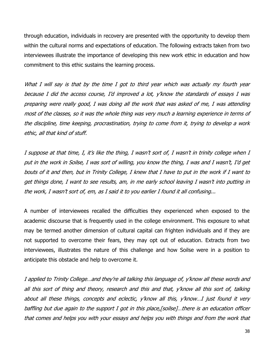through education, individuals in recovery are presented with the opportunity to develop them within the cultural norms and expectations of education. The following extracts taken from two interviewees illustrate the importance of developing this new work ethic in education and how commitment to this ethic sustains the learning process.

What I will say is that by the time I got to third year which was actually my fourth year because I did the access course, I'd improved a lot, y'know the standards of essays I was preparing were really good, I was doing all the work that was asked of me, I was attending most of the classes, so it was the whole thing was very much a learning experience in terms of the discipline, time keeping, procrastination, trying to come from it, trying to develop a work ethic, all that kind of stuff.

I suppose at that time, I, it's like the thing, I wasn't sort of, I wasn't in trinity college when I put in the work in Soilse, I was sort of willing, you know the thing, I was and I wasn't, I'd get bouts of it and then, but in Trinity College, I knew that I have to put in the work if I want to get things done, I want to see results, am, in me early school leaving I wasn't into putting in the work, I wasn't sort of, em, as I said it to you earlier I found it all confusing...

A number of interviewees recalled the difficulties they experienced when exposed to the academic discourse that is frequently used in the college environment. This exposure to what may be termed another dimension of cultural capital can frighten individuals and if they are not supported to overcome their fears, they may opt out of education. Extracts from two interviewees, illustrates the nature of this challenge and how Soilse were in a position to anticipate this obstacle and help to overcome it.

I applied to Trinity College…and they're all talking this language of, y'know all these words and all this sort of thing and theory, research and this and that, y'know all this sort of, talking about all these things, concepts and eclectic, y'know all this, y'know…I just found it very baffling but due again to the support I got in this place,[soilse]…there is an education officer that comes and helps you with your essays and helps you with things and from the work that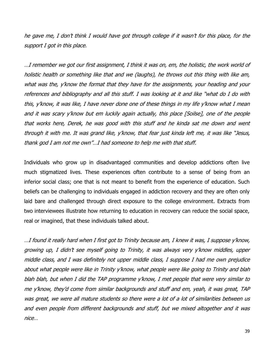he gave me, I don't think I would have got through college if it wasn't for this place, for the support I got in this place.

…I remember we got our first assignment, I think it was on, em, the holistic, the work world of holistic health or something like that and we (laughs), he throws out this thing with like am, what was the, y'know the format that they have for the assignments, your heading and your references and bibliography and all this stuff. I was looking at it and like "what do I do with this, y'know, it was like, I have never done one of these things in my life y'know what I mean and it was scary y'know but em luckily again actually, this place [Soilse], one of the people that works here, Derek, he was good with this stuff and he kinda sat me down and went through it with me. It was grand like, y'know, that fear just kinda left me, it was like "Jesus, thank god I am not me own"…I had someone to help me with that stuff.

Individuals who grow up in disadvantaged communities and develop addictions often live much stigmatized lives. These experiences often contribute to a sense of being from an inferior social class; one that is not meant to benefit from the experience of education. Such beliefs can be challenging to individuals engaged in addiction recovery and they are often only laid bare and challenged through direct exposure to the college environment. Extracts from two interviewees illustrate how returning to education in recovery can reduce the social space, real or imagined, that these individuals talked about.

…I found it really hard when I first got to Trinity because am, I knew it was, I suppose y'know, growing up, I didn't see myself going to Trinity, it was always very y'know middles, upper middle class, and I was definitely not upper middle class, I suppose I had me own prejudice about what people were like in Trinity y'know, what people were like going to Trinity and blah blah blah, but when I did the TAP programme y'know, I met people that were very similar to me y'know, they'd come from similar backgrounds and stuff and em, yeah, it was great, TAP was great, we were all mature students so there were a lot of a lot of similarities between us and even people from different backgrounds and stuff, but we mixed altogether and it was nice…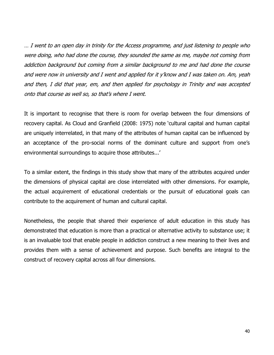… I went to an open day in trinity for the Access programme, and just listening to people who were doing, who had done the course, they sounded the same as me, maybe not coming from addiction background but coming from a similar background to me and had done the course and were now in university and I went and applied for it y'know and I was taken on. Am, yeah and then, I did that year, em, and then applied for psychology in Trinity and was accepted onto that course as well so, so that's where I went.

It is important to recognise that there is room for overlap between the four dimensions of recovery capital. As Cloud and Granfield (2008: 1975) note 'cultural capital and human capital are uniquely interrelated, in that many of the attributes of human capital can be influenced by an acceptance of the pro-social norms of the dominant culture and support from one's environmental surroundings to acquire those attributes...'

To a similar extent, the findings in this study show that many of the attributes acquired under the dimensions of physical capital are close interrelated with other dimensions. For example, the actual acquirement of educational credentials or the pursuit of educational goals can contribute to the acquirement of human and cultural capital.

Nonetheless, the people that shared their experience of adult education in this study has demonstrated that education is more than a practical or alternative activity to substance use; it is an invaluable tool that enable people in addiction construct a new meaning to their lives and provides them with a sense of achievement and purpose. Such benefits are integral to the construct of recovery capital across all four dimensions.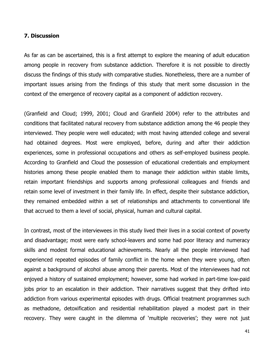#### **7. Discussion**

As far as can be ascertained, this is a first attempt to explore the meaning of adult education among people in recovery from substance addiction. Therefore it is not possible to directly discuss the findings of this study with comparative studies. Nonetheless, there are a number of important issues arising from the findings of this study that merit some discussion in the context of the emergence of recovery capital as a component of addiction recovery.

(Granfield and Cloud; 1999, 2001; Cloud and Granfield 2004) refer to the attributes and conditions that facilitated natural recovery from substance addiction among the 46 people they interviewed. They people were well educated; with most having attended college and several had obtained degrees. Most were employed, before, during and after their addiction experiences, some in professional occupations and others as self-employed business people. According to Granfield and Cloud the possession of educational credentials and employment histories among these people enabled them to manage their addiction within stable limits, retain important friendships and supports among professional colleagues and friends and retain some level of investment in their family life. In effect, despite their substance addiction, they remained embedded within a set of relationships and attachments to conventional life that accrued to them a level of social, physical, human and cultural capital.

In contrast, most of the interviewees in this study lived their lives in a social context of poverty and disadvantage; most were early school-leavers and some had poor literacy and numeracy skills and modest formal educational achievements. Nearly all the people interviewed had experienced repeated episodes of family conflict in the home when they were young, often against a background of alcohol abuse among their parents. Most of the interviewees had not enjoyed a history of sustained employment; however, some had worked in part-time low-paid jobs prior to an escalation in their addiction. Their narratives suggest that they drifted into addiction from various experimental episodes with drugs. Official treatment programmes such as methadone, detoxification and residential rehabilitation played a modest part in their recovery. They were caught in the dilemma of 'multiple recoveries'; they were not just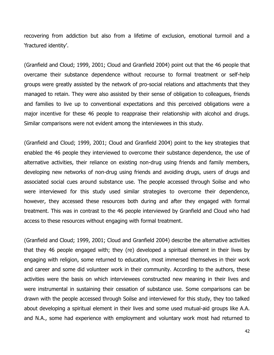recovering from addiction but also from a lifetime of exclusion, emotional turmoil and a 'fractured identity'.

(Granfield and Cloud; 1999, 2001; Cloud and Granfield 2004) point out that the 46 people that overcame their substance dependence without recourse to formal treatment or self-help groups were greatly assisted by the network of pro-social relations and attachments that they managed to retain. They were also assisted by their sense of obligation to colleagues, friends and families to live up to conventional expectations and this perceived obligations were a major incentive for these 46 people to reappraise their relationship with alcohol and drugs. Similar comparisons were not evident among the interviewees in this study.

(Granfield and Cloud; 1999, 2001; Cloud and Granfield 2004) point to the key strategies that enabled the 46 people they interviewed to overcome their substance dependence, the use of alternative activities, their reliance on existing non-drug using friends and family members, developing new networks of non-drug using friends and avoiding drugs, users of drugs and associated social cues around substance use. The people accessed through Soilse and who were interviewed for this study used similar strategies to overcome their dependence, however, they accessed these resources both during and after they engaged with formal treatment. This was in contrast to the 46 people interviewed by Granfield and Cloud who had access to these resources without engaging with formal treatment.

(Granfield and Cloud; 1999, 2001; Cloud and Granfield 2004) describe the alternative activities that they 46 people engaged with; they (re) developed a spiritual element in their lives by engaging with religion, some returned to education, most immersed themselves in their work and career and some did volunteer work in their community. According to the authors, these activities were the basis on which interviewees constructed new meaning in their lives and were instrumental in sustaining their cessation of substance use. Some comparisons can be drawn with the people accessed through Soilse and interviewed for this study, they too talked about developing a spiritual element in their lives and some used mutual-aid groups like A.A. and N.A., some had experience with employment and voluntary work most had returned to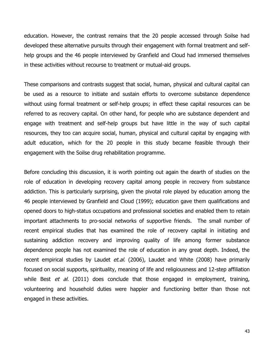education. However, the contrast remains that the 20 people accessed through Soilse had developed these alternative pursuits through their engagement with formal treatment and selfhelp groups and the 46 people interviewed by Granfield and Cloud had immersed themselves in these activities without recourse to treatment or mutual-aid groups.

These comparisons and contrasts suggest that social, human, physical and cultural capital can be used as a resource to initiate and sustain efforts to overcome substance dependence without using formal treatment or self-help groups; in effect these capital resources can be referred to as recovery capital. On other hand, for people who are substance dependent and engage with treatment and self-help groups but have little in the way of such capital resources, they too can acquire social, human, physical and cultural capital by engaging with adult education, which for the 20 people in this study became feasible through their engagement with the Soilse drug rehabilitation programme.

Before concluding this discussion, it is worth pointing out again the dearth of studies on the role of education in developing recovery capital among people in recovery from substance addiction. This is particularly surprising, given the pivotal role played by education among the 46 people interviewed by Granfield and Cloud (1999); education gave them qualifications and opened doors to high-status occupations and professional societies and enabled them to retain important attachments to pro-social networks of supportive friends. The small number of recent empirical studies that has examined the role of recovery capital in initiating and sustaining addiction recovery and improving quality of life among former substance dependence people has not examined the role of education in any great depth. Indeed, the recent empirical studies by Laudet et.al. (2006), Laudet and White (2008) have primarily focused on social supports, spirituality, meaning of life and religiousness and 12-step affiliation while Best  $et$  al. (2011) does conclude that those engaged in employment, training, volunteering and household duties were happier and functioning better than those not engaged in these activities.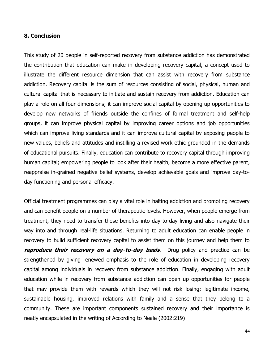#### **8. Conclusion**

This study of 20 people in self-reported recovery from substance addiction has demonstrated the contribution that education can make in developing recovery capital, a concept used to illustrate the different resource dimension that can assist with recovery from substance addiction. Recovery capital is the sum of resources consisting of social, physical, human and cultural capital that is necessary to initiate and sustain recovery from addiction. Education can play a role on all four dimensions; it can improve social capital by opening up opportunities to develop new networks of friends outside the confines of formal treatment and self-help groups, it can improve physical capital by improving career options and job opportunities which can improve living standards and it can improve cultural capital by exposing people to new values, beliefs and attitudes and instilling a revised work ethic grounded in the demands of educational pursuits. Finally, education can contribute to recovery capital through improving human capital; empowering people to look after their health, become a more effective parent, reappraise in-grained negative belief systems, develop achievable goals and improve day-today functioning and personal efficacy.

Official treatment programmes can play a vital role in halting addiction and promoting recovery and can benefit people on a number of therapeutic levels. However, when people emerge from treatment, they need to transfer these benefits into day-to-day living and also navigate their way into and through real-life situations. Returning to adult education can enable people in recovery to build sufficient recovery capital to assist them on this journey and help them to **reproduce their recovery on a day-to-day basis**. Drug policy and practice can be strengthened by giving renewed emphasis to the role of education in developing recovery capital among individuals in recovery from substance addiction. Finally, engaging with adult education while in recovery from substance addiction can open up opportunities for people that may provide them with rewards which they will not risk losing; legitimate income, sustainable housing, improved relations with family and a sense that they belong to a community. These are important components sustained recovery and their importance is neatly encapsulated in the writing of According to Neale (2002:219)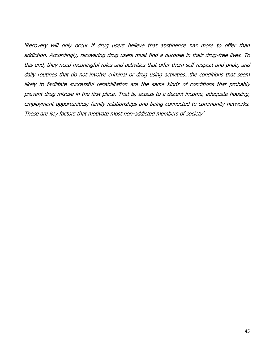'Recovery will only occur if drug users believe that abstinence has more to offer than addiction. Accordingly, recovering drug users must find a purpose in their drug-free lives. To this end, they need meaningful roles and activities that offer them self-respect and pride, and daily routines that do not involve criminal or drug using activities…the conditions that seem likely to facilitate successful rehabilitation are the same kinds of conditions that probably prevent drug misuse in the first place. That is, access to a decent income, adequate housing, employment opportunities; family relationships and being connected to community networks. These are key factors that motivate most non-addicted members of society'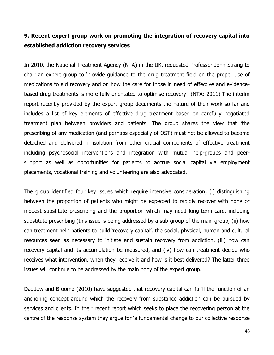# **9. Recent expert group work on promoting the integration of recovery capital into established addiction recovery services**

In 2010, the National Treatment Agency (NTA) in the UK, requested Professor John Strang to chair an expert group to 'provide guidance to the drug treatment field on the proper use of medications to aid recovery and on how the care for those in need of effective and evidencebased drug treatments is more fully orientated to optimise recovery'. (NTA: 2011) The interim report recently provided by the expert group documents the nature of their work so far and includes a list of key elements of effective drug treatment based on carefully negotiated treatment plan between providers and patients. The group shares the view that 'the prescribing of any medication (and perhaps especially of OST) must not be allowed to become detached and delivered in isolation from other crucial components of effective treatment including psychosocial interventions and integration with mutual help-groups and peersupport as well as opportunities for patients to accrue social capital via employment placements, vocational training and volunteering are also advocated.

The group identified four key issues which require intensive consideration; (i) distinguishing between the proportion of patients who might be expected to rapidly recover with none or modest substitute prescribing and the proportion which may need long-term care, including substitute prescribing (this issue is being addressed by a sub-group of the main group, (ii) how can treatment help patients to build 'recovery capital', the social, physical, human and cultural resources seen as necessary to initiate and sustain recovery from addiction, (iii) how can recovery capital and its accumulation be measured, and (iv) how can treatment decide who receives what intervention, when they receive it and how is it best delivered? The latter three issues will continue to be addressed by the main body of the expert group.

Daddow and Broome (2010) have suggested that recovery capital can fulfil the function of an anchoring concept around which the recovery from substance addiction can be pursued by services and clients. In their recent report which seeks to place the recovering person at the centre of the response system they argue for 'a fundamental change to our collective response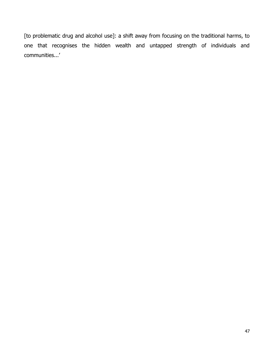[to problematic drug and alcohol use]: a shift away from focusing on the traditional harms, to one that recognises the hidden wealth and untapped strength of individuals and communities...'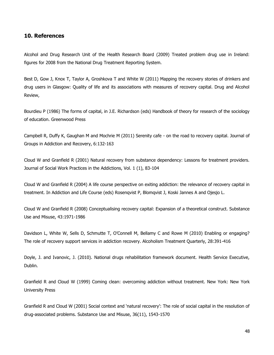#### **10. References**

Alcohol and Drug Research Unit of the Health Research Board (2009) Treated problem drug use in Ireland: figures for 2008 from the National Drug Treatment Reporting System.

Best D, Gow J, Knox T, Taylor A, Groshkova T and White W (2011) Mapping the recovery stories of drinkers and drug users in Glasgow: Quality of life and its associations with measures of recovery capital. Drug and Alcohol Review,

Bourdieu P (1986) The forms of capital, in J.E. Richardson (eds) Handbook of theory for research of the sociology of education. Greenwood Press

Campbell R, Duffy K, Gaughan M and Mochrie M (2011) Serenity cafe - on the road to recovery capital. Journal of Groups in Addiction and Recovery, 6:132-163

Cloud W and Granfield R (2001) Natural recovery from substance dependency: Lessons for treatment providers. Journal of Social Work Practices in the Addictions, Vol. 1 (1), 83-104

Cloud W and Granfield R (2004) A life course perspective on exiting addiction: the relevance of recovery capital in treatment. In Addiction and Life Course (eds) Rosenqvist P, Blomqvist J, Koski Jannes A and Ojesjo L.

Cloud W and Granfield R (2008) Conceptualising recovery capital: Expansion of a theoretical construct. Substance Use and Misuse, 43:1971-1986

Davidson L, White W, Sells D, Schmutte T, O'Connell M, Bellamy C and Rowe M (2010) Enabling or engaging? The role of recovery support services in addiction recovery. Alcoholism Treatment Quarterly, 28:391-416

Doyle, J. and Ivanovic, J. (2010). National drugs rehabilitation framework document. Health Service Executive, Dublin.

Granfield R and Cloud W (1999) Coming clean: overcoming addiction without treatment. New York: New York University Press

Granfield R and Cloud W (2001) Social context and 'natural recovery': The role of social capital in the resolution of drug-associated problems. Substance Use and Misuse, 36(11), 1543-1570